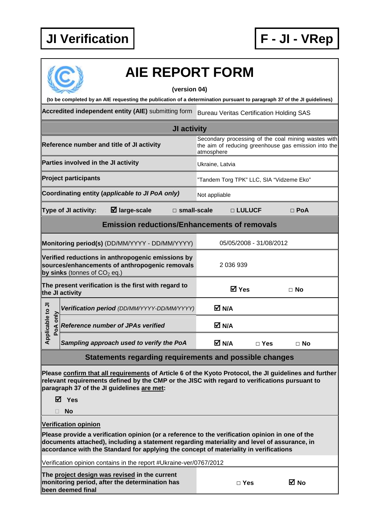

|                                                                                                                                       | <b>AIE REPORT FORM</b>                                                                                                                                                                                                                                                                  |                                                                                                                           |                         |            |  |  |
|---------------------------------------------------------------------------------------------------------------------------------------|-----------------------------------------------------------------------------------------------------------------------------------------------------------------------------------------------------------------------------------------------------------------------------------------|---------------------------------------------------------------------------------------------------------------------------|-------------------------|------------|--|--|
| (version 04)                                                                                                                          |                                                                                                                                                                                                                                                                                         |                                                                                                                           |                         |            |  |  |
| (to be completed by an AIE requesting the publication of a determination pursuant to paragraph 37 of the JI guidelines)               |                                                                                                                                                                                                                                                                                         |                                                                                                                           |                         |            |  |  |
|                                                                                                                                       | Accredited independent entity (AIE) submitting form                                                                                                                                                                                                                                     | <b>Bureau Veritas Certification Holding SAS</b>                                                                           |                         |            |  |  |
| <b>JI activity</b>                                                                                                                    |                                                                                                                                                                                                                                                                                         |                                                                                                                           |                         |            |  |  |
|                                                                                                                                       | Reference number and title of JI activity                                                                                                                                                                                                                                               | Secondary processing of the coal mining wastes with<br>the aim of reducing greenhouse gas emission into the<br>atmosphere |                         |            |  |  |
|                                                                                                                                       | Parties involved in the JI activity                                                                                                                                                                                                                                                     | Ukraine, Latvia                                                                                                           |                         |            |  |  |
|                                                                                                                                       | <b>Project participants</b>                                                                                                                                                                                                                                                             | "Tandem Torg TPK" LLC, SIA "Vidzeme Eko"                                                                                  |                         |            |  |  |
|                                                                                                                                       | Coordinating entity (applicable to JI PoA only)                                                                                                                                                                                                                                         | Not appliable                                                                                                             |                         |            |  |  |
|                                                                                                                                       | $\boxtimes$ large-scale<br>Type of JI activity:<br>$\Box$ small-scale                                                                                                                                                                                                                   |                                                                                                                           | □ LULUCF                | $\Box$ PoA |  |  |
|                                                                                                                                       | <b>Emission reductions/Enhancements of removals</b>                                                                                                                                                                                                                                     |                                                                                                                           |                         |            |  |  |
|                                                                                                                                       | Monitoring period(s) (DD/MM/YYYY - DD/MM/YYYY)                                                                                                                                                                                                                                          |                                                                                                                           | 05/05/2008 - 31/08/2012 |            |  |  |
| Verified reductions in anthropogenic emissions by<br>sources/enhancements of anthropogenic removals<br>by sinks (tonnes of $CO2$ eq.) |                                                                                                                                                                                                                                                                                         | 2 036 939                                                                                                                 |                         |            |  |  |
|                                                                                                                                       | The present verification is the first with regard to<br>the JI activity                                                                                                                                                                                                                 | <b>☑</b> Yes                                                                                                              |                         | $\Box$ No  |  |  |
|                                                                                                                                       | Verification period (DD/MM/YYYY-DD/MM/YYYY)                                                                                                                                                                                                                                             | M N/A                                                                                                                     |                         |            |  |  |
| plicable to JI<br>PoA only                                                                                                            | <b>Reference number of JPAs verified</b>                                                                                                                                                                                                                                                | M N/A                                                                                                                     |                         |            |  |  |
| $\mathbf{a}$                                                                                                                          | Sampling approach used to verify the PoA                                                                                                                                                                                                                                                | M N/A                                                                                                                     | $\Box$ Yes              | $\Box$ No  |  |  |
|                                                                                                                                       | Statements regarding requirements and possible changes                                                                                                                                                                                                                                  |                                                                                                                           |                         |            |  |  |
|                                                                                                                                       | Please confirm that all requirements of Article 6 of the Kyoto Protocol, the JI guidelines and further<br>relevant requirements defined by the CMP or the JISC with regard to verifications pursuant to<br>paragraph 37 of the JI guidelines are met:<br>M Yes                          |                                                                                                                           |                         |            |  |  |
|                                                                                                                                       | <b>No</b>                                                                                                                                                                                                                                                                               |                                                                                                                           |                         |            |  |  |
|                                                                                                                                       | <b>Verification opinion</b>                                                                                                                                                                                                                                                             |                                                                                                                           |                         |            |  |  |
|                                                                                                                                       | Please provide a verification opinion (or a reference to the verification opinion in one of the<br>documents attached), including a statement regarding materiality and level of assurance, in<br>accordance with the Standard for applying the concept of materiality in verifications |                                                                                                                           |                         |            |  |  |
| Verification opinion contains in the report #Ukraine-ver/0767/2012                                                                    |                                                                                                                                                                                                                                                                                         |                                                                                                                           |                         |            |  |  |
|                                                                                                                                       | The project design was revised in the current<br>monitoring period, after the determination has<br>been deemed final                                                                                                                                                                    |                                                                                                                           | $\Box$ Yes              | ⊠ No       |  |  |